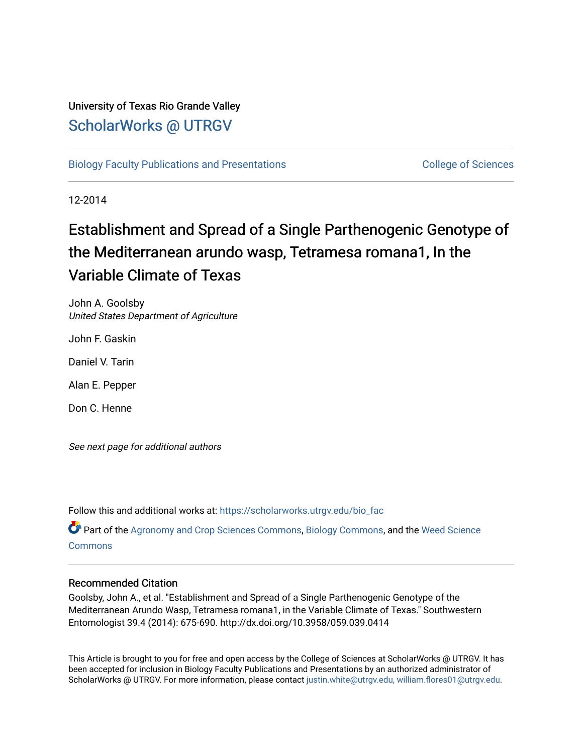# University of Texas Rio Grande Valley [ScholarWorks @ UTRGV](https://scholarworks.utrgv.edu/)

[Biology Faculty Publications and Presentations](https://scholarworks.utrgv.edu/bio_fac) College of Sciences

12-2014

# Establishment and Spread of a Single Parthenogenic Genotype of the Mediterranean arundo wasp, Tetramesa romana1, In the Variable Climate of Texas

John A. Goolsby United States Department of Agriculture

John F. Gaskin

Daniel V. Tarin

Alan E. Pepper

Don C. Henne

See next page for additional authors

Follow this and additional works at: [https://scholarworks.utrgv.edu/bio\\_fac](https://scholarworks.utrgv.edu/bio_fac?utm_source=scholarworks.utrgv.edu%2Fbio_fac%2F208&utm_medium=PDF&utm_campaign=PDFCoverPages)

Part of the [Agronomy and Crop Sciences Commons,](http://network.bepress.com/hgg/discipline/103?utm_source=scholarworks.utrgv.edu%2Fbio_fac%2F208&utm_medium=PDF&utm_campaign=PDFCoverPages) [Biology Commons,](http://network.bepress.com/hgg/discipline/41?utm_source=scholarworks.utrgv.edu%2Fbio_fac%2F208&utm_medium=PDF&utm_campaign=PDFCoverPages) and the [Weed Science](http://network.bepress.com/hgg/discipline/1267?utm_source=scholarworks.utrgv.edu%2Fbio_fac%2F208&utm_medium=PDF&utm_campaign=PDFCoverPages) **[Commons](http://network.bepress.com/hgg/discipline/1267?utm_source=scholarworks.utrgv.edu%2Fbio_fac%2F208&utm_medium=PDF&utm_campaign=PDFCoverPages)** 

### Recommended Citation

Goolsby, John A., et al. "Establishment and Spread of a Single Parthenogenic Genotype of the Mediterranean Arundo Wasp, Tetramesa romana1, in the Variable Climate of Texas." Southwestern Entomologist 39.4 (2014): 675-690. http://dx.doi.org/10.3958/059.039.0414

This Article is brought to you for free and open access by the College of Sciences at ScholarWorks @ UTRGV. It has been accepted for inclusion in Biology Faculty Publications and Presentations by an authorized administrator of ScholarWorks @ UTRGV. For more information, please contact [justin.white@utrgv.edu, william.flores01@utrgv.edu](mailto:justin.white@utrgv.edu,%20william.flores01@utrgv.edu).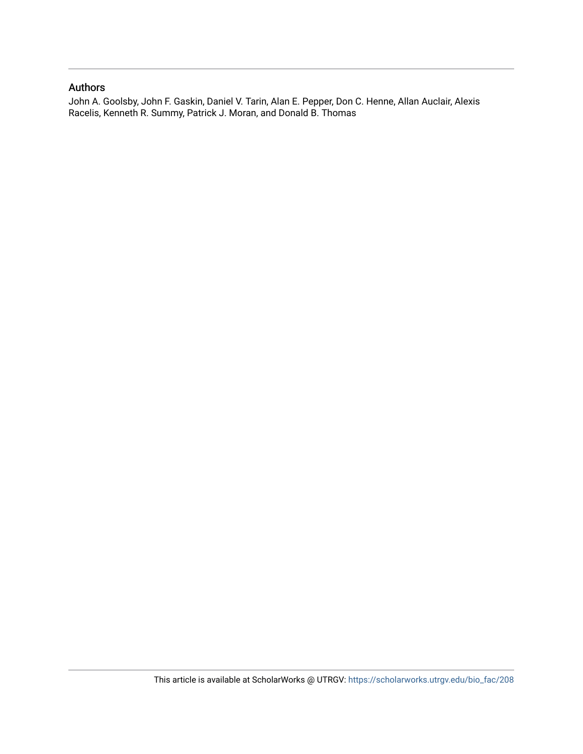### Authors

John A. Goolsby, John F. Gaskin, Daniel V. Tarin, Alan E. Pepper, Don C. Henne, Allan Auclair, Alexis Racelis, Kenneth R. Summy, Patrick J. Moran, and Donald B. Thomas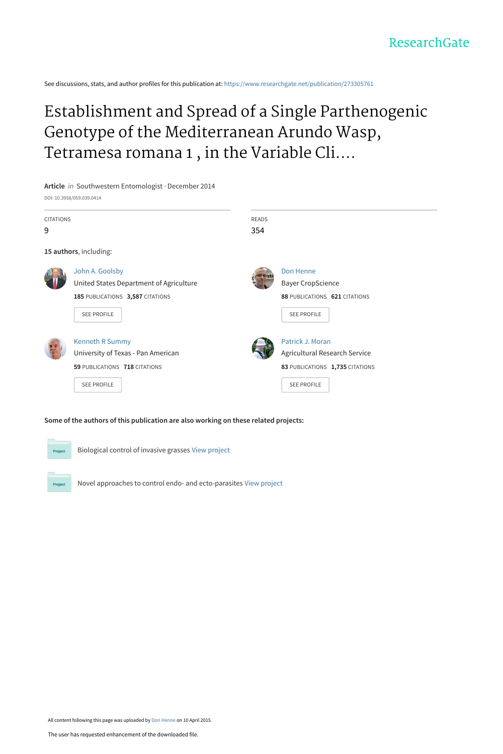See discussions, stats, and author profiles for this publication at: [https://www.researchgate.net/publication/273305761](https://www.researchgate.net/publication/273305761_Establishment_and_Spread_of_a_Single_Parthenogenic_Genotype_of_the_Mediterranean_Arundo_Wasp_Tetramesa_romana_1_in_the_Variable_Climate_of_Texas?enrichId=rgreq-0eada62a03926e88f4731dbec80a4548-XXX&enrichSource=Y292ZXJQYWdlOzI3MzMwNTc2MTtBUzoyMTY0OTc5ODYyNDg3MjNAMTQyODYyODU1MDY4Nw%3D%3D&el=1_x_2&_esc=publicationCoverPdf)

# Establishment and Spread of a Single Parthenogenic Genotype of the Mediterranean Arundo Wasp, Tetramesa romana 1 , in the Variable Cli....

**Article** in Southwestern Entomologist · December 2014 DOI: 10.3958/059.039.0414



#### **Some of the authors of this publication are also working on these related projects:**



Biological control of invasive grasses [View project](https://www.researchgate.net/project/Biological-control-of-invasive-grasses-2?enrichId=rgreq-0eada62a03926e88f4731dbec80a4548-XXX&enrichSource=Y292ZXJQYWdlOzI3MzMwNTc2MTtBUzoyMTY0OTc5ODYyNDg3MjNAMTQyODYyODU1MDY4Nw%3D%3D&el=1_x_9&_esc=publicationCoverPdf)

Novel approaches to control endo- and ecto-parasites [View project](https://www.researchgate.net/project/Novel-approaches-to-control-endo-and-ecto-parasites?enrichId=rgreq-0eada62a03926e88f4731dbec80a4548-XXX&enrichSource=Y292ZXJQYWdlOzI3MzMwNTc2MTtBUzoyMTY0OTc5ODYyNDg3MjNAMTQyODYyODU1MDY4Nw%3D%3D&el=1_x_9&_esc=publicationCoverPdf)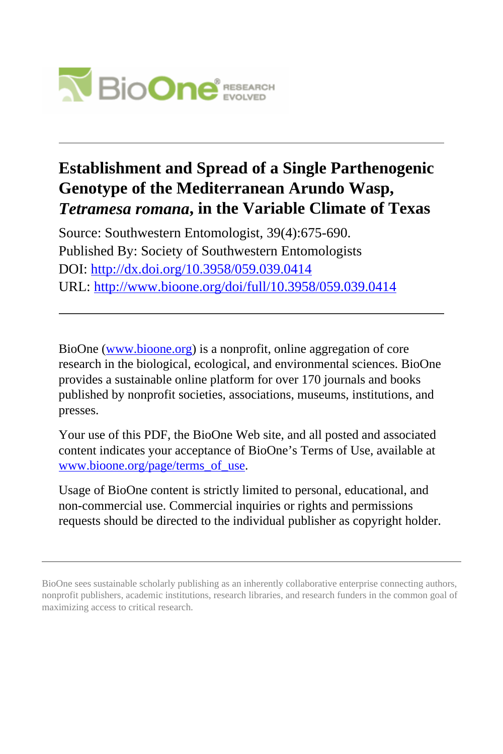

### **Establishment and Spread of a Single Parthenogenic Genotype of the Mediterranean Arundo Wasp,** *Tetramesa romana***, in the Variable Climate of Texas**

Source: Southwestern Entomologist, 39(4):675-690. Published By: Society of Southwestern Entomologists DOI:<http://dx.doi.org/10.3958/059.039.0414> URL: <http://www.bioone.org/doi/full/10.3958/059.039.0414>

BioOne [\(www.bioone.org\)](http://www.bioone.org) is a nonprofit, online aggregation of core research in the biological, ecological, and environmental sciences. BioOne provides a sustainable online platform for over 170 journals and books published by nonprofit societies, associations, museums, institutions, and presses.

Your use of this PDF, the BioOne Web site, and all posted and associated content indicates your acceptance of BioOne's Terms of Use, available at [www.bioone.org/page/terms\\_of\\_use](http://www.bioone.org/page/terms_of_use).

Usage of BioOne content is strictly limited to personal, educational, and non-commercial use. Commercial inquiries or rights and permissions requests should be directed to the individual publisher as copyright holder.

BioOne sees sustainable scholarly publishing as an inherently collaborative enterprise connecting authors, nonprofit publishers, academic institutions, research libraries, and research funders in the common goal of maximizing access to critical research.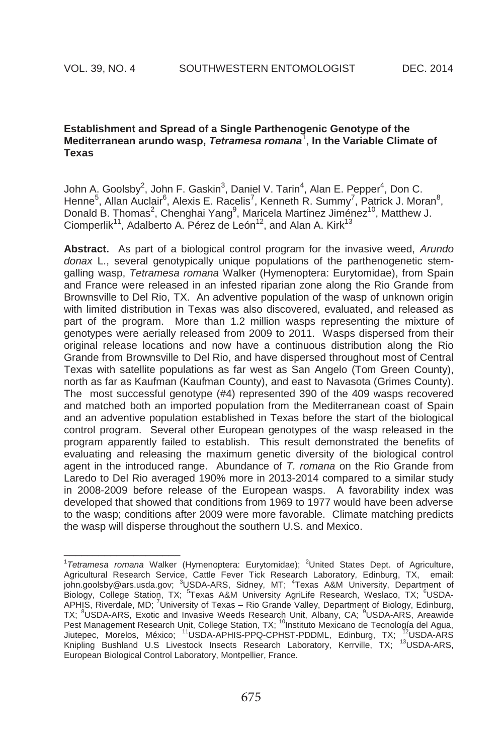$\_$ 

#### **Establishment and Spread of a Single Parthenogenic Genotype of the Mediterranean arundo wasp,** *Tetramesa romana*<sup>1</sup> , **In the Variable Climate of Texas**

John A. Goolsby<sup>2</sup>, John F. Gaskin<sup>3</sup>, Daniel V. Tarin<sup>4</sup>, Alan E. Pepper<sup>4</sup>, Don C. Henne<sup>5</sup>, Allan Auclair<sup>6</sup>, Alexis E. Racelis<sup>7</sup>, Kenneth R. Summy<sup>7</sup>, Patrick J. Moran<sup>8</sup>, Donald B. Thomas<sup>2</sup>, Chenghai Yang<sup>9</sup>, Maricela Martínez Jiménez<sup>10</sup>, Matthew J. Ciomperlik<sup>11</sup>, Adalberto A. Pérez de León<sup>12</sup>, and Alan A. Kirk<sup>13</sup>

**Abstract.** As part of a biological control program for the invasive weed, *Arundo donax* L., several genotypically unique populations of the parthenogenetic stemgalling wasp, *Tetramesa romana* Walker (Hymenoptera: Eurytomidae), from Spain and France were released in an infested riparian zone along the Rio Grande from Brownsville to Del Rio, TX. An adventive population of the wasp of unknown origin with limited distribution in Texas was also discovered, evaluated, and released as part of the program. More than 1.2 million wasps representing the mixture of genotypes were aerially released from 2009 to 2011. Wasps dispersed from their original release locations and now have a continuous distribution along the Rio Grande from Brownsville to Del Rio, and have dispersed throughout most of Central Texas with satellite populations as far west as San Angelo (Tom Green County), north as far as Kaufman (Kaufman County), and east to Navasota (Grimes County). The most successful genotype (#4) represented 390 of the 409 wasps recovered and matched both an imported population from the Mediterranean coast of Spain and an adventive population established in Texas before the start of the biological control program. Several other European genotypes of the wasp released in the program apparently failed to establish. This result demonstrated the benefits of evaluating and releasing the maximum genetic diversity of the biological control agent in the introduced range. Abundance of *T. romana* on the Rio Grande from Laredo to Del Rio averaged 190% more in 2013-2014 compared to a similar study in 2008-2009 before release of the European wasps. A favorability index was developed that showed that conditions from 1969 to 1977 would have been adverse to the wasp; conditions after 2009 were more favorable. Climate matching predicts the wasp will disperse throughout the southern U.S. and Mexico.

<sup>&</sup>lt;sup>1</sup>Tetramesa romana Walker (Hymenoptera: Eurytomidae); <sup>2</sup>United States Dept. of Agriculture, Agricultural Research Service, Cattle Fever Tick Research Laboratory, Edinburg, TX, email: john.goolsby@ars.usda.gov; <sup>3</sup>USDA-ARS, Sidney, MT; <sup>4</sup>Texas A&M University, Department of Biology, College Station, TX; <sup>5</sup>Texas A&M University AgriLife Research, Weslaco, TX; <sup>6</sup>USDA-APHIS, Riverdale, MD; <sup>7</sup>University of Texas - Rio Grande Valley, Department of Biology, Edinburg, TX; <sup>8</sup>USDA-ARS, Exotic and Invasive Weeds Research Unit, Albany, CA; <sup>9</sup>USDA-ARS, Areawide Pest Management Research Unit, College Station, TX; <sup>10</sup>Instituto Mexicano de Tecnología del Agua, Jiutepec, Morelos, México; <sup>11</sup>USDA-APHIS-PPQ-CPHST-PDDML, Edinburg, TX; <sup>12</sup>USDA-ARS Knipling Bushland U.S Livestock Insects Research Laboratory, Kerrville, TX; <sup>13</sup>USDA-ARS, European Biological Control Laboratory, Montpellier, France.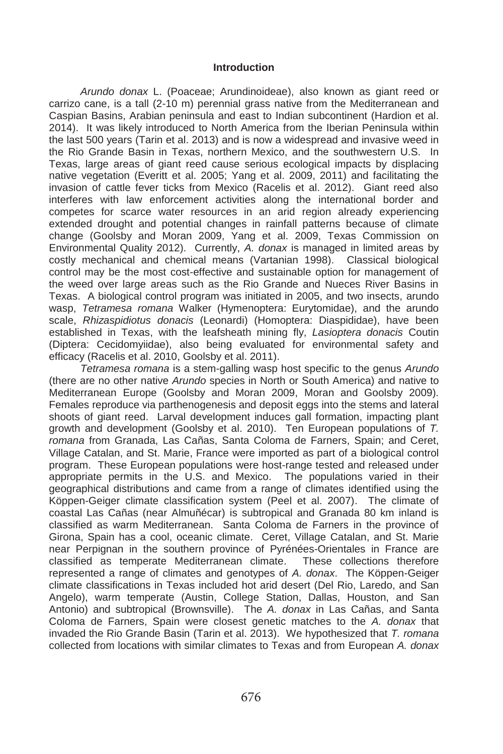#### **Introduction**

*Arundo donax* L. (Poaceae; Arundinoideae), also known as giant reed or carrizo cane, is a tall (2-10 m) perennial grass native from the Mediterranean and Caspian Basins, Arabian peninsula and east to Indian subcontinent (Hardion et al. 2014). It was likely introduced to North America from the Iberian Peninsula within the last 500 years (Tarin et al. 2013) and is now a widespread and invasive weed in the Rio Grande Basin in Texas, northern Mexico, and the southwestern U.S. In Texas, large areas of giant reed cause serious ecological impacts by displacing native vegetation (Everitt et al. 2005; Yang et al. 2009, 2011) and facilitating the invasion of cattle fever ticks from Mexico (Racelis et al. 2012). Giant reed also interferes with law enforcement activities along the international border and competes for scarce water resources in an arid region already experiencing extended drought and potential changes in rainfall patterns because of climate change (Goolsby and Moran 2009, Yang et al. 2009, Texas Commission on Environmental Quality 2012). Currently, *A. donax* is managed in limited areas by costly mechanical and chemical means (Vartanian 1998). Classical biological control may be the most cost-effective and sustainable option for management of the weed over large areas such as the Rio Grande and Nueces River Basins in Texas. A biological control program was initiated in 2005, and two insects, arundo wasp, *Tetramesa romana* Walker (Hymenoptera: Eurytomidae), and the arundo scale, *Rhizaspidiotus donacis* (Leonardi) (Homoptera: Diaspididae), have been established in Texas, with the leafsheath mining fly, *Lasioptera donacis* Coutin (Diptera: Cecidomyiidae), also being evaluated for environmental safety and efficacy (Racelis et al. 2010, Goolsby et al. 2011).

*Tetramesa romana* is a stem-galling wasp host specific to the genus *Arundo* (there are no other native *Arundo* species in North or South America) and native to Mediterranean Europe (Goolsby and Moran 2009, Moran and Goolsby 2009). Females reproduce via parthenogenesis and deposit eggs into the stems and lateral shoots of giant reed. Larval development induces gall formation, impacting plant growth and development (Goolsby et al. 2010). Ten European populations of *T. romana* from Granada, Las Cañas, Santa Coloma de Farners, Spain; and Ceret, Village Catalan, and St. Marie, France were imported as part of a biological control program. These European populations were host-range tested and released under appropriate permits in the U.S. and Mexico. The populations varied in their geographical distributions and came from a range of climates identified using the Köppen-Geiger climate classification system (Peel et al. 2007). The climate of coastal Las Cañas (near Almuñécar) is subtropical and Granada 80 km inland is classified as warm Mediterranean. Santa Coloma de Farners in the province of Girona, Spain has a cool, oceanic climate. Ceret, Village Catalan, and St. Marie near Perpignan in the southern province of Pyrénées-Orientales in France are classified as temperate Mediterranean climate. These collections therefore represented a range of climates and genotypes of *A. donax*. The Köppen-Geiger climate classifications in Texas included hot arid desert (Del Rio, Laredo, and San Angelo), warm temperate (Austin, College Station, Dallas, Houston, and San Antonio) and subtropical (Brownsville). The *A. donax* in Las Cañas, and Santa Coloma de Farners, Spain were closest genetic matches to the *A. donax* that invaded the Rio Grande Basin (Tarin et al. 2013). We hypothesized that *T. romana* collected from locations with similar climates to Texas and from European *A. donax*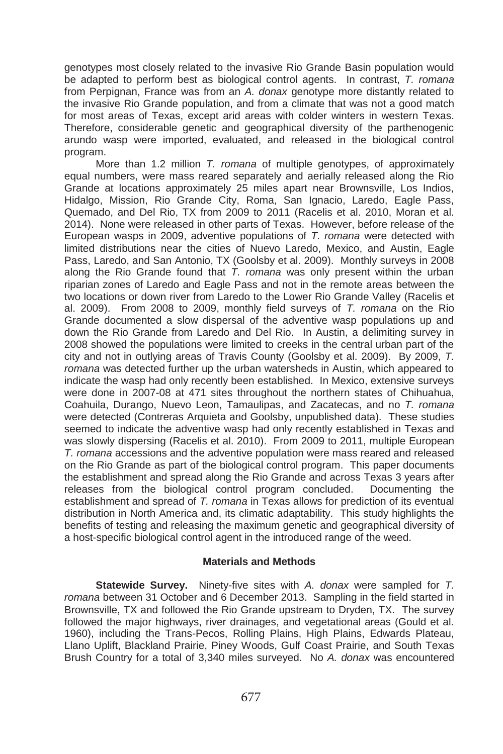genotypes most closely related to the invasive Rio Grande Basin population would be adapted to perform best as biological control agents. In contrast, *T. romana* from Perpignan, France was from an *A. donax* genotype more distantly related to the invasive Rio Grande population, and from a climate that was not a good match for most areas of Texas, except arid areas with colder winters in western Texas. Therefore, considerable genetic and geographical diversity of the parthenogenic arundo wasp were imported, evaluated, and released in the biological control program.

 More than 1.2 million *T. romana* of multiple genotypes, of approximately equal numbers, were mass reared separately and aerially released along the Rio Grande at locations approximately 25 miles apart near Brownsville, Los Indios, Hidalgo, Mission, Rio Grande City, Roma, San Ignacio, Laredo, Eagle Pass, Quemado, and Del Rio, TX from 2009 to 2011 (Racelis et al. 2010, Moran et al. 2014). None were released in other parts of Texas. However, before release of the European wasps in 2009, adventive populations of *T. romana* were detected with limited distributions near the cities of Nuevo Laredo, Mexico, and Austin, Eagle Pass, Laredo, and San Antonio, TX (Goolsby et al. 2009). Monthly surveys in 2008 along the Rio Grande found that *T. romana* was only present within the urban riparian zones of Laredo and Eagle Pass and not in the remote areas between the two locations or down river from Laredo to the Lower Rio Grande Valley (Racelis et al. 2009). From 2008 to 2009, monthly field surveys of *T. romana* on the Rio Grande documented a slow dispersal of the adventive wasp populations up and down the Rio Grande from Laredo and Del Rio. In Austin, a delimiting survey in 2008 showed the populations were limited to creeks in the central urban part of the city and not in outlying areas of Travis County (Goolsby et al. 2009). By 2009, *T. romana* was detected further up the urban watersheds in Austin, which appeared to indicate the wasp had only recently been established. In Mexico, extensive surveys were done in 2007-08 at 471 sites throughout the northern states of Chihuahua, Coahuila, Durango, Nuevo Leon, Tamaulipas, and Zacatecas, and no *T. romana* were detected (Contreras Arquieta and Goolsby, unpublished data). These studies seemed to indicate the adventive wasp had only recently established in Texas and was slowly dispersing (Racelis et al. 2010). From 2009 to 2011, multiple European *T. romana* accessions and the adventive population were mass reared and released on the Rio Grande as part of the biological control program. This paper documents the establishment and spread along the Rio Grande and across Texas 3 years after releases from the biological control program concluded. Documenting the establishment and spread of *T. romana* in Texas allows for prediction of its eventual distribution in North America and, its climatic adaptability. This study highlights the benefits of testing and releasing the maximum genetic and geographical diversity of a host-specific biological control agent in the introduced range of the weed.

#### **Materials and Methods**

**Statewide Survey.** Ninety-five sites with *A. donax* were sampled for *T. romana* between 31 October and 6 December 2013. Sampling in the field started in Brownsville, TX and followed the Rio Grande upstream to Dryden, TX. The survey followed the major highways, river drainages, and vegetational areas (Gould et al. 1960), including the Trans-Pecos, Rolling Plains, High Plains, Edwards Plateau, Llano Uplift, Blackland Prairie, Piney Woods, Gulf Coast Prairie, and South Texas Brush Country for a total of 3,340 miles surveyed. No *A. donax* was encountered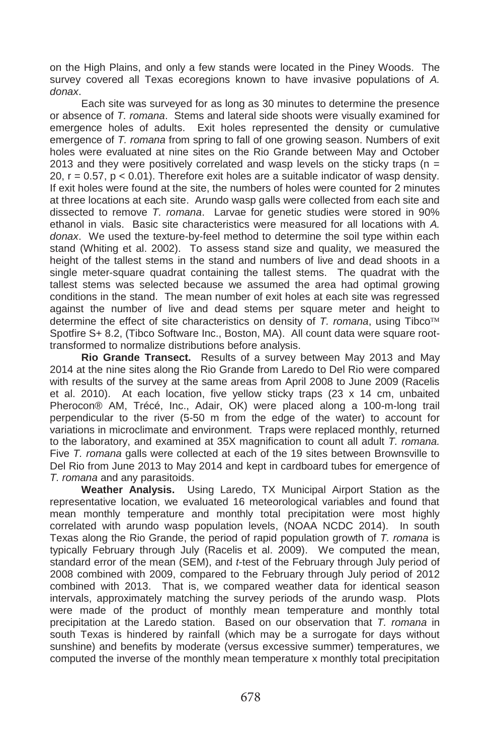on the High Plains, and only a few stands were located in the Piney Woods. The survey covered all Texas ecoregions known to have invasive populations of *A. donax*.

Each site was surveyed for as long as 30 minutes to determine the presence or absence of *T. romana*. Stems and lateral side shoots were visually examined for emergence holes of adults. Exit holes represented the density or cumulative emergence of *T. romana* from spring to fall of one growing season. Numbers of exit holes were evaluated at nine sites on the Rio Grande between May and October 2013 and they were positively correlated and wasp levels on the sticky traps ( $n =$ 20,  $r = 0.57$ ,  $p < 0.01$ ). Therefore exit holes are a suitable indicator of wasp density. If exit holes were found at the site, the numbers of holes were counted for 2 minutes at three locations at each site. Arundo wasp galls were collected from each site and dissected to remove *T. romana*. Larvae for genetic studies were stored in 90% ethanol in vials. Basic site characteristics were measured for all locations with *A. donax*. We used the texture-by-feel method to determine the soil type within each stand (Whiting et al. 2002). To assess stand size and quality, we measured the height of the tallest stems in the stand and numbers of live and dead shoots in a single meter-square quadrat containing the tallest stems. The quadrat with the tallest stems was selected because we assumed the area had optimal growing conditions in the stand. The mean number of exit holes at each site was regressed against the number of live and dead stems per square meter and height to determine the effect of site characteristics on density of *T. romana*, using Tibco Spotfire S+ 8.2, (Tibco Software Inc., Boston, MA). All count data were square roottransformed to normalize distributions before analysis.

**Rio Grande Transect.** Results of a survey between May 2013 and May 2014 at the nine sites along the Rio Grande from Laredo to Del Rio were compared with results of the survey at the same areas from April 2008 to June 2009 (Racelis et al. 2010). At each location, five yellow sticky traps (23 x 14 cm, unbaited Pherocon® AM, Trécé, Inc., Adair, OK) were placed along a 100-m-long trail perpendicular to the river (5-50 m from the edge of the water) to account for variations in microclimate and environment. Traps were replaced monthly, returned to the laboratory, and examined at 35X magnification to count all adult *T. romana.*  Five *T. romana* galls were collected at each of the 19 sites between Brownsville to Del Rio from June 2013 to May 2014 and kept in cardboard tubes for emergence of *T. romana* and any parasitoids.

**Weather Analysis.** Using Laredo, TX Municipal Airport Station as the representative location, we evaluated 16 meteorological variables and found that mean monthly temperature and monthly total precipitation were most highly correlated with arundo wasp population levels, (NOAA NCDC 2014). In south Texas along the Rio Grande, the period of rapid population growth of *T. romana* is typically February through July (Racelis et al. 2009). We computed the mean, standard error of the mean (SEM), and *t*-test of the February through July period of 2008 combined with 2009, compared to the February through July period of 2012 combined with 2013. That is, we compared weather data for identical season intervals, approximately matching the survey periods of the arundo wasp. Plots were made of the product of monthly mean temperature and monthly total precipitation at the Laredo station. Based on our observation that *T. romana* in south Texas is hindered by rainfall (which may be a surrogate for days without sunshine) and benefits by moderate (versus excessive summer) temperatures, we computed the inverse of the monthly mean temperature x monthly total precipitation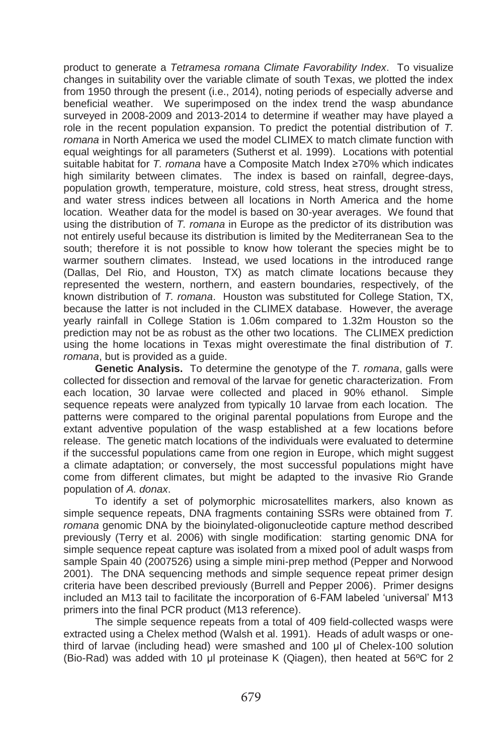product to generate a *Tetramesa romana Climate Favorability Index*. To visualize changes in suitability over the variable climate of south Texas, we plotted the index from 1950 through the present (i.e., 2014), noting periods of especially adverse and beneficial weather. We superimposed on the index trend the wasp abundance surveyed in 2008-2009 and 2013-2014 to determine if weather may have played a role in the recent population expansion. To predict the potential distribution of *T. romana* in North America we used the model CLIMEX to match climate function with equal weightings for all parameters (Sutherst et al. 1999). Locations with potential suitable habitat for *T. romana* have a Composite Match Index ≥70% which indicates high similarity between climates. The index is based on rainfall, degree-days, population growth, temperature, moisture, cold stress, heat stress, drought stress, and water stress indices between all locations in North America and the home location. Weather data for the model is based on 30-year averages. We found that using the distribution of *T. romana* in Europe as the predictor of its distribution was not entirely useful because its distribution is limited by the Mediterranean Sea to the south; therefore it is not possible to know how tolerant the species might be to warmer southern climates. Instead, we used locations in the introduced range (Dallas, Del Rio, and Houston, TX) as match climate locations because they represented the western, northern, and eastern boundaries, respectively, of the known distribution of *T. romana*. Houston was substituted for College Station, TX, because the latter is not included in the CLIMEX database. However, the average yearly rainfall in College Station is 1.06m compared to 1.32m Houston so the prediction may not be as robust as the other two locations. The CLIMEX prediction using the home locations in Texas might overestimate the final distribution of *T. romana*, but is provided as a guide.

**Genetic Analysis.** To determine the genotype of the *T. romana*, galls were collected for dissection and removal of the larvae for genetic characterization. From each location, 30 larvae were collected and placed in 90% ethanol. Simple sequence repeats were analyzed from typically 10 larvae from each location. The patterns were compared to the original parental populations from Europe and the extant adventive population of the wasp established at a few locations before release. The genetic match locations of the individuals were evaluated to determine if the successful populations came from one region in Europe, which might suggest a climate adaptation; or conversely, the most successful populations might have come from different climates, but might be adapted to the invasive Rio Grande population of *A. donax*.

To identify a set of polymorphic microsatellites markers, also known as simple sequence repeats, DNA fragments containing SSRs were obtained from *T. romana* genomic DNA by the bioinylated-oligonucleotide capture method described previously (Terry et al. 2006) with single modification: starting genomic DNA for simple sequence repeat capture was isolated from a mixed pool of adult wasps from sample Spain 40 (2007526) using a simple mini-prep method (Pepper and Norwood 2001). The DNA sequencing methods and simple sequence repeat primer design criteria have been described previously (Burrell and Pepper 2006). Primer designs included an M13 tail to facilitate the incorporation of 6-FAM labeled 'universal' M13 primers into the final PCR product (M13 reference).

The simple sequence repeats from a total of 409 field-collected wasps were extracted using a Chelex method (Walsh et al. 1991). Heads of adult wasps or onethird of larvae (including head) were smashed and 100 ul of Chelex-100 solution (Bio-Rad) was added with 10 µl proteinase K (Qiagen), then heated at  $56^{\circ}$ C for 2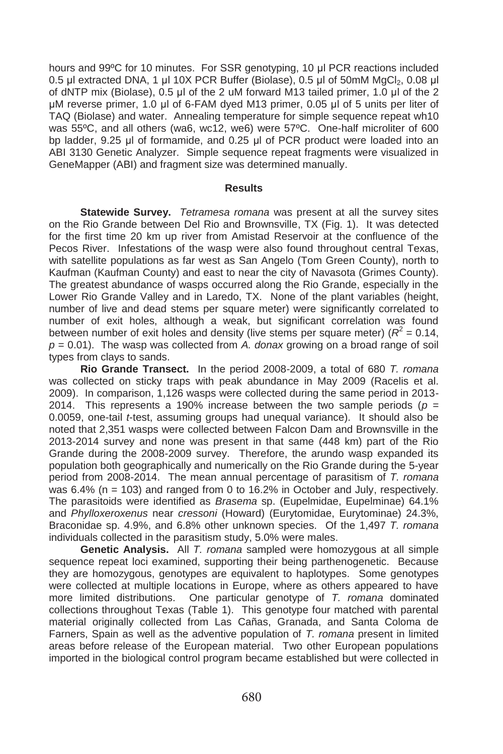hours and 99°C for 10 minutes. For SSR genotyping, 10 µl PCR reactions included 0.5 µl extracted DNA, 1 µl 10X PCR Buffer (Biolase), 0.5 µl of 50mM MgCl<sub>2</sub>, 0.08 µl of dNTP mix (Biolase),  $0.5$  µl of the 2 uM forward M13 tailed primer,  $1.0$  µl of the 2 µM reverse primer, 1.0 µl of 6-FAM dyed M13 primer, 0.05 µl of 5 units per liter of TAQ (Biolase) and water. Annealing temperature for simple sequence repeat wh10 was 55ºC, and all others (wa6, wc12, we6) were 57ºC. One-half microliter of 600 bp ladder, 9.25 µl of formamide, and 0.25 µl of PCR product were loaded into an ABI 3130 Genetic Analyzer. Simple sequence repeat fragments were visualized in GeneMapper (ABI) and fragment size was determined manually.

#### **Results**

**Statewide Survey.** *Tetramesa romana* was present at all the survey sites on the Rio Grande between Del Rio and Brownsville, TX (Fig. 1). It was detected for the first time 20 km up river from Amistad Reservoir at the confluence of the Pecos River. Infestations of the wasp were also found throughout central Texas, with satellite populations as far west as San Angelo (Tom Green County), north to Kaufman (Kaufman County) and east to near the city of Navasota (Grimes County). The greatest abundance of wasps occurred along the Rio Grande, especially in the Lower Rio Grande Valley and in Laredo, TX. None of the plant variables (height, number of live and dead stems per square meter) were significantly correlated to number of exit holes, although a weak, but significant correlation was found between number of exit holes and density (live stems per square meter) ( $R^2$  = 0.14, *p* = 0.01). The wasp was collected from *A. donax* growing on a broad range of soil types from clays to sands.

**Rio Grande Transect.** In the period 2008-2009, a total of 680 *T. romana* was collected on sticky traps with peak abundance in May 2009 (Racelis et al. 2009). In comparison, 1,126 wasps were collected during the same period in 2013- 2014. This represents a 190% increase between the two sample periods ( $p =$ 0.0059, one-tail *t*-test, assuming groups had unequal variance). It should also be noted that 2,351 wasps were collected between Falcon Dam and Brownsville in the 2013-2014 survey and none was present in that same (448 km) part of the Rio Grande during the 2008-2009 survey. Therefore, the arundo wasp expanded its population both geographically and numerically on the Rio Grande during the 5-year period from 2008-2014. The mean annual percentage of parasitism of *T. romana* was  $6.4\%$  (n = 103) and ranged from 0 to 16.2% in October and July, respectively. The parasitoids were identified as *Brasema* sp. (Eupelmidae, Eupelminae) 64.1% and *Phylloxeroxenus* near *cressoni* (Howard) (Eurytomidae, Eurytominae) 24.3%, Braconidae sp. 4.9%, and 6.8% other unknown species. Of the 1,497 *T. romana* individuals collected in the parasitism study, 5.0% were males.

**Genetic Analysis.** All *T. romana* sampled were homozygous at all simple sequence repeat loci examined, supporting their being parthenogenetic. Because they are homozygous, genotypes are equivalent to haplotypes. Some genotypes were collected at multiple locations in Europe, where as others appeared to have more limited distributions. One particular genotype of *T. romana* dominated collections throughout Texas (Table 1). This genotype four matched with parental material originally collected from Las Cañas, Granada, and Santa Coloma de Farners, Spain as well as the adventive population of *T. romana* present in limited areas before release of the European material. Two other European populations imported in the biological control program became established but were collected in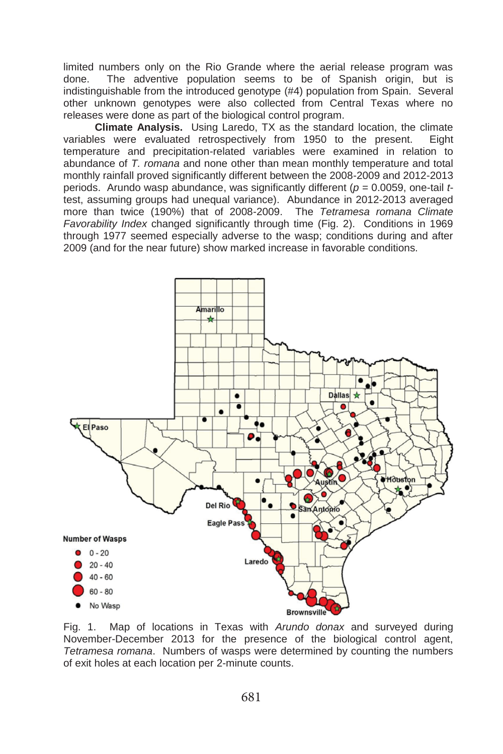limited numbers only on the Rio Grande where the aerial release program was done. The adventive population seems to be of Spanish origin, but is indistinguishable from the introduced genotype (#4) population from Spain. Several other unknown genotypes were also collected from Central Texas where no releases were done as part of the biological control program.

**Climate Analysis.** Using Laredo, TX as the standard location, the climate variables were evaluated retrospectively from 1950 to the present. Eight temperature and precipitation-related variables were examined in relation to abundance of *T. romana* and none other than mean monthly temperature and total monthly rainfall proved significantly different between the 2008-2009 and 2012-2013 periods. Arundo wasp abundance, was significantly different (*p* = 0.0059, one-tail *t*test, assuming groups had unequal variance). Abundance in 2012-2013 averaged more than twice (190%) that of 2008-2009. The *Tetramesa romana Climate Favorability Index* changed significantly through time (Fig. 2). Conditions in 1969 through 1977 seemed especially adverse to the wasp; conditions during and after 2009 (and for the near future) show marked increase in favorable conditions.



Fig. 1. Map of locations in Texas with *Arundo donax* and surveyed during November-December 2013 for the presence of the biological control agent, *Tetramesa romana*. Numbers of wasps were determined by counting the numbers of exit holes at each location per 2-minute counts.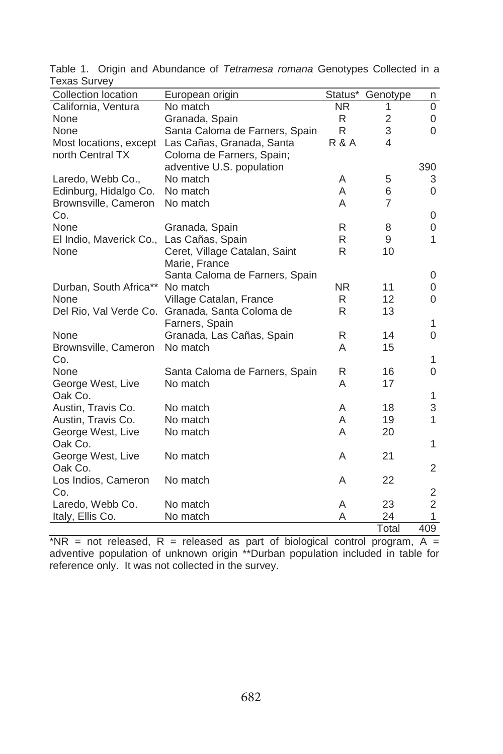| Collection location     | European origin                                 | Status*          | Genotype       | n              |
|-------------------------|-------------------------------------------------|------------------|----------------|----------------|
| California, Ventura     | No match                                        | NR.              | 1              | 0              |
| None                    | Granada, Spain                                  | R                | 2              | 0              |
| None                    | Santa Caloma de Farners, Spain                  | R                | 3              | $\Omega$       |
| Most locations, except  | Las Cañas, Granada, Santa                       | <b>R &amp; A</b> | 4              |                |
| north Central TX        | Coloma de Farners, Spain;                       |                  |                |                |
|                         | adventive U.S. population                       |                  |                | 390            |
| Laredo, Webb Co.,       | No match                                        | A                | 5              | 3              |
| Edinburg, Hidalgo Co.   | No match                                        | A                | 6              | $\mathbf 0$    |
| Brownsville, Cameron    | No match                                        | A                | $\overline{7}$ |                |
| Co.                     |                                                 |                  |                | 0              |
| None                    | Granada, Spain                                  | R                | 8              | 0              |
| El Indio, Maverick Co., | Las Cañas, Spain                                | R                | 9              | $\mathbf{1}$   |
| None                    | Ceret, Village Catalan, Saint                   | R                | 10             |                |
|                         | Marie, France                                   |                  |                |                |
|                         | Santa Caloma de Farners, Spain                  |                  |                | 0              |
| Durban, South Africa**  | No match                                        | <b>NR</b>        | 11             | 0              |
| None                    | Village Catalan, France                         | R                | 12             | 0              |
|                         | Del Rio, Val Verde Co. Granada, Santa Coloma de | R                | 13             |                |
|                         | Farners, Spain                                  |                  |                | 1              |
| None                    | Granada, Las Cañas, Spain                       | R                | 14             | 0              |
| Brownsville, Cameron    | No match                                        | A                | 15             |                |
| Co.                     |                                                 |                  |                | 1              |
| None                    | Santa Caloma de Farners, Spain                  | R                | 16             | 0              |
| George West, Live       | No match                                        | A                | 17             |                |
| Oak Co.                 |                                                 |                  |                | 1              |
| Austin, Travis Co.      | No match                                        | A                | 18             | 3              |
| Austin, Travis Co.      | No match                                        | A                | 19             | 1              |
| George West, Live       | No match                                        | A                | 20             |                |
| Oak Co.                 |                                                 |                  |                | $\mathbf{1}$   |
| George West, Live       | No match                                        | A                | 21             |                |
| Oak Co.                 |                                                 |                  |                | $\overline{2}$ |
| Los Indios, Cameron     | No match                                        | A                | 22             |                |
| Co.                     |                                                 |                  |                | 2              |
| Laredo, Webb Co.        | No match                                        | A                | 23             | $\overline{c}$ |
| Italy, Ellis Co.        | No match                                        | A                | 24             | $\mathbf{1}$   |
|                         |                                                 |                  | Total          | 409            |

Table 1. Origin and Abundance of *Tetramesa romana* Genotypes Collected in a Texas Survey

 $*NR$  = not released, R = released as part of biological control program, A = adventive population of unknown origin \*\*Durban population included in table for reference only. It was not collected in the survey.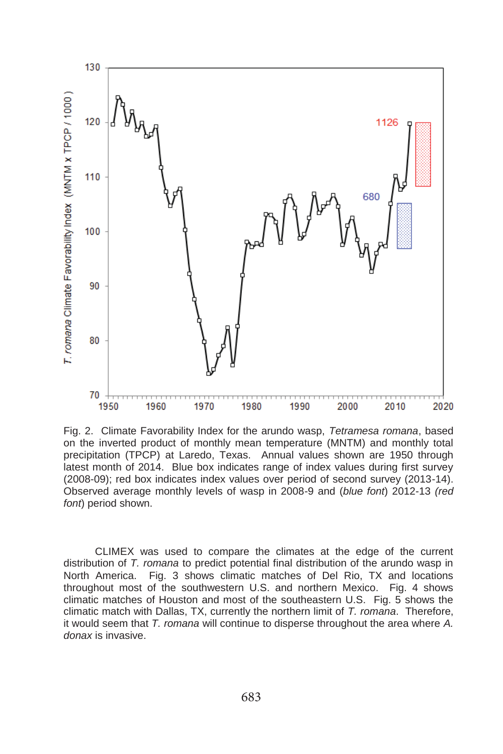

Fig. 2. Climate Favorability Index for the arundo wasp, *Tetramesa romana*, based on the inverted product of monthly mean temperature (MNTM) and monthly total precipitation (TPCP) at Laredo, Texas. Annual values shown are 1950 through latest month of 2014. Blue box indicates range of index values during first survey (2008-09); red box indicates index values over period of second survey (2013-14). Observed average monthly levels of wasp in 2008-9 and (*blue font*) 2012-13 *(red font*) period shown.

CLIMEX was used to compare the climates at the edge of the current distribution of *T. romana* to predict potential final distribution of the arundo wasp in North America. Fig. 3 shows climatic matches of Del Rio, TX and locations throughout most of the southwestern U.S. and northern Mexico. Fig. 4 shows climatic matches of Houston and most of the southeastern U.S. Fig. 5 shows the climatic match with Dallas, TX, currently the northern limit of *T. romana*. Therefore, it would seem that *T. romana* will continue to disperse throughout the area where *A. donax* is invasive.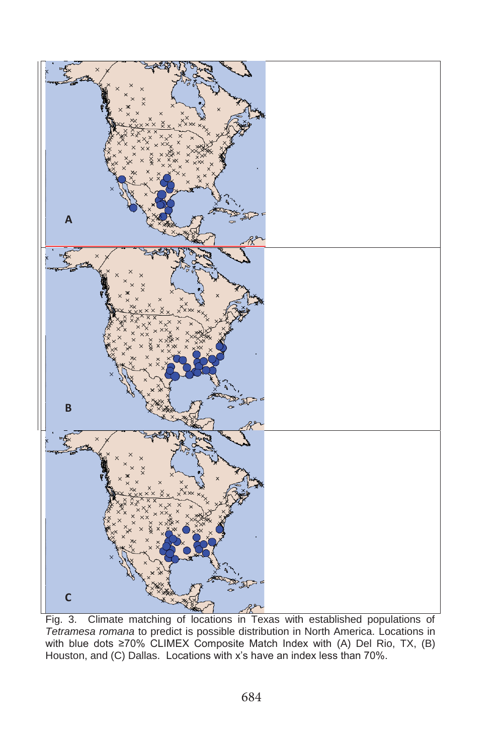

Fig. 3. Climate matching of locations in Texas with established populations of *Tetramesa romana* to predict is possible distribution in North America. Locations in with blue dots  $\geq 70\%$  CLIMEX Composite Match Index with (A) Del Rio, TX, (B) Houston, and (C) Dallas. Locations with x's have an index less than 70%.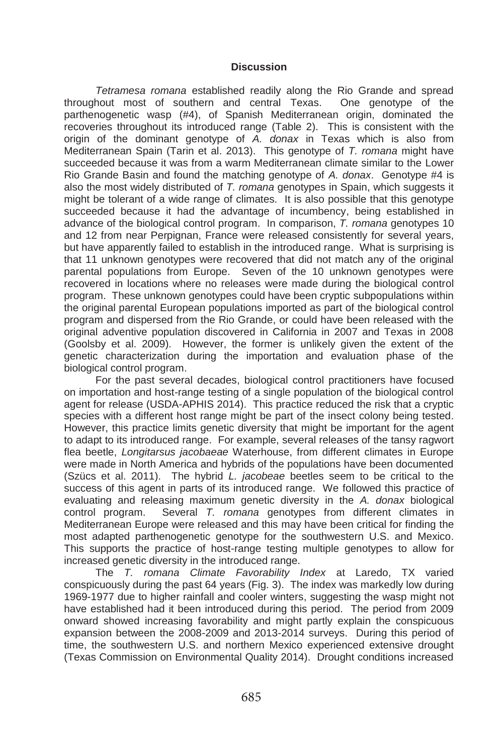#### **Discussion**

*Tetramesa romana* established readily along the Rio Grande and spread throughout most of southern and central Texas. One genotype of the parthenogenetic wasp (#4), of Spanish Mediterranean origin, dominated the recoveries throughout its introduced range (Table 2). This is consistent with the origin of the dominant genotype of *A. donax* in Texas which is also from Mediterranean Spain (Tarin et al. 2013). This genotype of *T. romana* might have succeeded because it was from a warm Mediterranean climate similar to the Lower Rio Grande Basin and found the matching genotype of *A. donax*. Genotype #4 is also the most widely distributed of *T. romana* genotypes in Spain, which suggests it might be tolerant of a wide range of climates. It is also possible that this genotype succeeded because it had the advantage of incumbency, being established in advance of the biological control program. In comparison, *T. romana* genotypes 10 and 12 from near Perpignan, France were released consistently for several years, but have apparently failed to establish in the introduced range. What is surprising is that 11 unknown genotypes were recovered that did not match any of the original parental populations from Europe. Seven of the 10 unknown genotypes were recovered in locations where no releases were made during the biological control program. These unknown genotypes could have been cryptic subpopulations within the original parental European populations imported as part of the biological control program and dispersed from the Rio Grande, or could have been released with the original adventive population discovered in California in 2007 and Texas in 2008 (Goolsby et al. 2009). However, the former is unlikely given the extent of the genetic characterization during the importation and evaluation phase of the biological control program.

For the past several decades, biological control practitioners have focused on importation and host-range testing of a single population of the biological control agent for release (USDA-APHIS 2014). This practice reduced the risk that a cryptic species with a different host range might be part of the insect colony being tested. However, this practice limits genetic diversity that might be important for the agent to adapt to its introduced range. For example, several releases of the tansy ragwort flea beetle, *Longitarsus jacobaeae* Waterhouse, from different climates in Europe were made in North America and hybrids of the populations have been documented (Szücs et al. 2011). The hybrid *L. jacobeae* beetles seem to be critical to the success of this agent in parts of its introduced range. We followed this practice of evaluating and releasing maximum genetic diversity in the *A. donax* biological control program. Several *T. romana* genotypes from different climates in Mediterranean Europe were released and this may have been critical for finding the most adapted parthenogenetic genotype for the southwestern U.S. and Mexico. This supports the practice of host-range testing multiple genotypes to allow for increased genetic diversity in the introduced range.

The *T. romana Climate Favorability Index* at Laredo, TX varied conspicuously during the past 64 years (Fig. 3). The index was markedly low during 1969-1977 due to higher rainfall and cooler winters, suggesting the wasp might not have established had it been introduced during this period. The period from 2009 onward showed increasing favorability and might partly explain the conspicuous expansion between the 2008-2009 and 2013-2014 surveys. During this period of time, the southwestern U.S. and northern Mexico experienced extensive drought (Texas Commission on Environmental Quality 2014). Drought conditions increased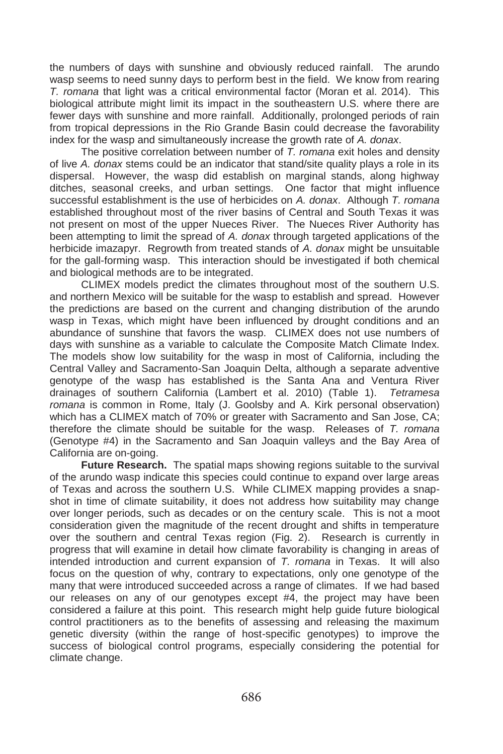the numbers of days with sunshine and obviously reduced rainfall. The arundo wasp seems to need sunny days to perform best in the field. We know from rearing *T. romana* that light was a critical environmental factor (Moran et al. 2014). This biological attribute might limit its impact in the southeastern U.S. where there are fewer days with sunshine and more rainfall. Additionally, prolonged periods of rain from tropical depressions in the Rio Grande Basin could decrease the favorability index for the wasp and simultaneously increase the growth rate of *A. donax*.

The positive correlation between number of *T. romana* exit holes and density of live *A. donax* stems could be an indicator that stand/site quality plays a role in its dispersal. However, the wasp did establish on marginal stands, along highway ditches, seasonal creeks, and urban settings. One factor that might influence successful establishment is the use of herbicides on *A. donax*. Although *T. romana* established throughout most of the river basins of Central and South Texas it was not present on most of the upper Nueces River. The Nueces River Authority has been attempting to limit the spread of *A. donax* through targeted applications of the herbicide imazapyr. Regrowth from treated stands of *A. donax* might be unsuitable for the gall-forming wasp. This interaction should be investigated if both chemical and biological methods are to be integrated.

CLIMEX models predict the climates throughout most of the southern U.S. and northern Mexico will be suitable for the wasp to establish and spread. However the predictions are based on the current and changing distribution of the arundo wasp in Texas, which might have been influenced by drought conditions and an abundance of sunshine that favors the wasp. CLIMEX does not use numbers of days with sunshine as a variable to calculate the Composite Match Climate Index. The models show low suitability for the wasp in most of California, including the Central Valley and Sacramento-San Joaquin Delta, although a separate adventive genotype of the wasp has established is the Santa Ana and Ventura River drainages of southern California (Lambert et al. 2010) (Table 1). *Tetramesa romana* is common in Rome, Italy (J. Goolsby and A. Kirk personal observation) which has a CLIMEX match of 70% or greater with Sacramento and San Jose, CA; therefore the climate should be suitable for the wasp. Releases of *T. romana*  (Genotype #4) in the Sacramento and San Joaquin valleys and the Bay Area of California are on-going.

**Future Research.** The spatial maps showing regions suitable to the survival of the arundo wasp indicate this species could continue to expand over large areas of Texas and across the southern U.S. While CLIMEX mapping provides a snapshot in time of climate suitability, it does not address how suitability may change over longer periods, such as decades or on the century scale. This is not a moot consideration given the magnitude of the recent drought and shifts in temperature over the southern and central Texas region (Fig. 2). Research is currently in progress that will examine in detail how climate favorability is changing in areas of intended introduction and current expansion of *T. romana* in Texas. It will also focus on the question of why, contrary to expectations, only one genotype of the many that were introduced succeeded across a range of climates. If we had based our releases on any of our genotypes except #4, the project may have been considered a failure at this point. This research might help guide future biological control practitioners as to the benefits of assessing and releasing the maximum genetic diversity (within the range of host-specific genotypes) to improve the success of biological control programs, especially considering the potential for climate change.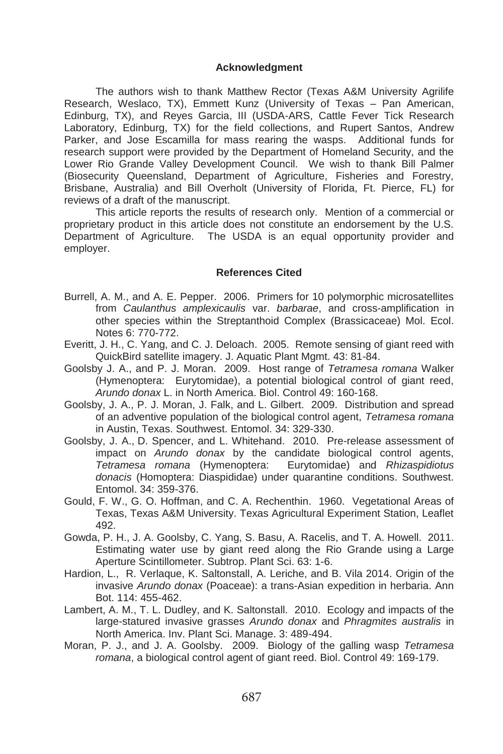#### **Acknowledgment**

The authors wish to thank Matthew Rector (Texas A&M University Agrilife Research, Weslaco, TX), Emmett Kunz (University of Texas – Pan American, Edinburg, TX), and Reyes Garcia, III (USDA-ARS, Cattle Fever Tick Research Laboratory, Edinburg, TX) for the field collections, and Rupert Santos, Andrew Parker, and Jose Escamilla for mass rearing the wasps. Additional funds for research support were provided by the Department of Homeland Security, and the Lower Rio Grande Valley Development Council. We wish to thank Bill Palmer (Biosecurity Queensland, Department of Agriculture, Fisheries and Forestry, Brisbane, Australia) and Bill Overholt (University of Florida, Ft. Pierce, FL) for reviews of a draft of the manuscript.

This article reports the results of research only. Mention of a commercial or proprietary product in this article does not constitute an endorsement by the U.S. Department of Agriculture. The USDA is an equal opportunity provider and employer.

#### **References Cited**

- Burrell, A. M., and A. E. Pepper. 2006. Primers for 10 polymorphic microsatellites from *Caulanthus amplexicaulis* var. *barbarae*, and cross-amplification in other species within the Streptanthoid Complex (Brassicaceae) Mol. Ecol. Notes 6: 770-772.
- Everitt, J. H., C. Yang, and C. J. Deloach. 2005. Remote sensing of giant reed with QuickBird satellite imagery. J. Aquatic Plant Mgmt. 43: 81-84.
- Goolsby J. A., and P. J. Moran. 2009. Host range of *Tetramesa romana* Walker (Hymenoptera: Eurytomidae), a potential biological control of giant reed, *Arundo donax* L. in North America. Biol. Control 49: 160-168.
- Goolsby, J. A., P. J. Moran, J. Falk, and L. Gilbert. 2009. Distribution and spread of an adventive population of the biological control agent, *Tetramesa romana* in Austin, Texas. Southwest. Entomol. 34: 329-330.
- Goolsby, J. A., D. Spencer, and L. Whitehand. 2010. Pre-release assessment of impact on *Arundo donax* by the candidate biological control agents, *Tetramesa romana* (Hymenoptera: Eurytomidae) and *Rhizaspidiotus donacis* (Homoptera: Diaspididae) under quarantine conditions. Southwest. Entomol. 34: 359-376.
- Gould, F. W., G. O. Hoffman, and C. A. Rechenthin. 1960. Vegetational Areas of Texas, Texas A&M University. Texas Agricultural Experiment Station, Leaflet 492.
- Gowda, P. H., J. A. Goolsby, C. Yang, S. Basu, A. Racelis, and T. A. Howell. 2011. Estimating water use by giant reed along the Rio Grande using a Large Aperture Scintillometer. Subtrop. Plant Sci. 63: 1-6.
- Hardion, L., R. Verlaque, K. Saltonstall, A. Leriche, and B. Vila 2014. Origin of the invasive *Arundo donax* (Poaceae): a trans-Asian expedition in herbaria. Ann Bot. 114: 455-462.
- Lambert, A. M., T. L. Dudley, and K. Saltonstall. 2010. Ecology and impacts of the large-statured invasive grasses *Arundo donax* and *Phragmites australis* in North America. Inv. Plant Sci. Manage. 3: 489-494.
- Moran, P. J., and J. A. Goolsby. 2009. Biology of the galling wasp *Tetramesa romana*, a biological control agent of giant reed. Biol. Control 49: 169-179.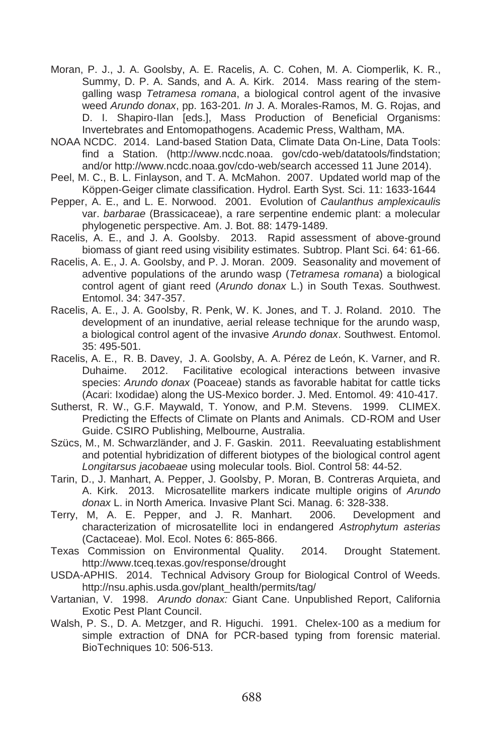- Moran, P. J., J. A. Goolsby, A. E. Racelis, A. C. Cohen, M. A. Ciomperlik, K. R., Summy, D. P. A. Sands, and A. A. Kirk. 2014. Mass rearing of the stemgalling wasp *Tetramesa romana*, a biological control agent of the invasive weed *Arundo donax*, pp. 163-201*. In* J. A. Morales-Ramos, M. G. Rojas, and D. I. Shapiro-Ilan [eds.], Mass Production of Beneficial Organisms: Invertebrates and Entomopathogens. Academic Press, Waltham, MA.
- NOAA NCDC. 2014. Land-based Station Data, Climate Data On-Line, Data Tools: find a Station. (http://www.ncdc.noaa. gov/cdo-web/datatools/findstation; and/or http://www.ncdc.noaa.gov/cdo-web/search accessed 11 June 2014).
- Peel, M. C., B. L. Finlayson, and T. A. McMahon. 2007. Updated world map of the Köppen-Geiger climate classification. Hydrol. Earth Syst. Sci. 11: 1633-1644
- Pepper, A. E., and L. E. Norwood. 2001. Evolution of *Caulanthus amplexicaulis*  var. *barbarae* (Brassicaceae), a rare serpentine endemic plant: a molecular phylogenetic perspective. Am. J. Bot. 88: 1479-1489.
- Racelis, A. E., and J. A. Goolsby. 2013. Rapid assessment of above-ground biomass of giant reed using visibility estimates. Subtrop. Plant Sci. 64: 61-66.
- Racelis, A. E., J. A. Goolsby, and P. J. Moran. 2009. Seasonality and movement of adventive populations of the arundo wasp (*Tetramesa romana*) a biological control agent of giant reed (*Arundo donax* L.) in South Texas. Southwest. Entomol. 34: 347-357.
- Racelis, A. E., J. A. Goolsby, R. Penk, W. K. Jones, and T. J. Roland. 2010. The development of an inundative, aerial release technique for the arundo wasp, a biological control agent of the invasive *Arundo donax*. Southwest. Entomol. 35: 495-501.
- Racelis, A. E., R. B. Davey, J. A. Goolsby, A. A. Pérez de León, K. Varner, and R. Duhaime. 2012. Facilitative ecological interactions between invasive species: *Arundo donax* (Poaceae) stands as favorable habitat for cattle ticks (Acari: Ixodidae) along the US-Mexico border. J. Med. Entomol. 49: 410-417.
- Sutherst, R. W., G.F. Maywald, T. Yonow, and P.M. Stevens. 1999. CLIMEX. Predicting the Effects of Climate on Plants and Animals. CD-ROM and User Guide. CSIRO Publishing, Melbourne, Australia.
- Szücs, M., M. Schwarzländer, and J. F. Gaskin. 2011. Reevaluating establishment and potential hybridization of different biotypes of the biological control agent *Longitarsus jacobaeae* using molecular tools. Biol. Control 58: 44-52.
- Tarin, D., J. Manhart, A. Pepper, J. Goolsby, P. Moran, B. Contreras Arquieta, and A. Kirk. 2013. Microsatellite markers indicate multiple origins of *Arundo donax* L. in North America. Invasive Plant Sci. Manag. 6: 328-338.
- Terry, M, A. E. Pepper, and J. R. Manhart. 2006. Development and characterization of microsatellite loci in endangered *Astrophytum asterias* (Cactaceae). Mol. Ecol. Notes 6: 865-866.
- Texas Commission on Environmental Quality. 2014. Drought Statement. http://www.tceq.texas.gov/response/drought
- USDA-APHIS. 2014. Technical Advisory Group for Biological Control of Weeds. http://nsu.aphis.usda.gov/plant\_health/permits/tag/
- Vartanian, V. 1998. *Arundo donax:* Giant Cane. Unpublished Report, California Exotic Pest Plant Council.
- Walsh, P. S., D. A. Metzger, and R. Higuchi. 1991. Chelex-100 as a medium for simple extraction of DNA for PCR-based typing from forensic material. BioTechniques 10: 506-513.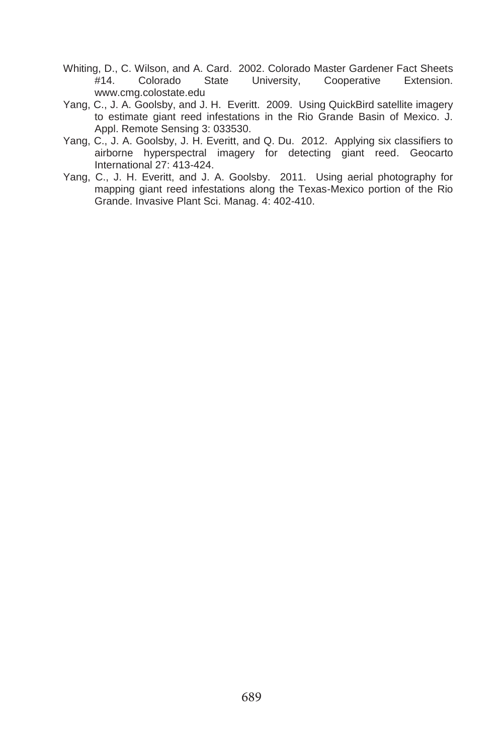- Whiting, D., C. Wilson, and A. Card. 2002. Colorado Master Gardener Fact Sheets #14. Colorado State University, Cooperative Extension. www.cmg.colostate.edu
- Yang, C., J. A. Goolsby, and J. H. Everitt. 2009. Using QuickBird satellite imagery to estimate giant reed infestations in the Rio Grande Basin of Mexico. J. Appl. Remote Sensing 3: 033530.
- Yang, C., J. A. Goolsby, J. H. Everitt, and Q. Du. 2012. Applying six classifiers to airborne hyperspectral imagery for detecting giant reed. Geocarto International 27: 413-424.
- Yang, C., J. H. Everitt, and J. A. Goolsby. 2011. Using aerial photography for mapping giant reed infestations along the Texas-Mexico portion of the Rio Grande. Invasive Plant Sci. Manag. 4: 402-410.